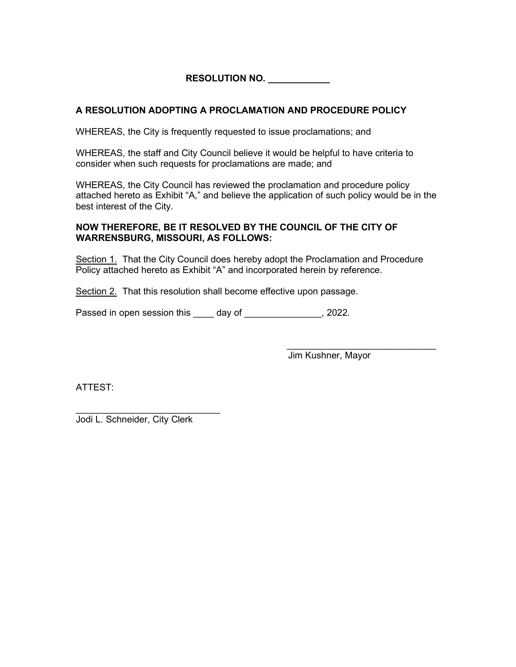**RESOLUTION NO. \_\_\_\_\_\_\_\_\_\_\_\_**

## **A RESOLUTION ADOPTING A PROCLAMATION AND PROCEDURE POLICY**

WHEREAS, the City is frequently requested to issue proclamations; and

WHEREAS, the staff and City Council believe it would be helpful to have criteria to consider when such requests for proclamations are made; and

WHEREAS, the City Council has reviewed the proclamation and procedure policy attached hereto as Exhibit "A," and believe the application of such policy would be in the best interest of the City.

## **NOW THEREFORE, BE IT RESOLVED BY THE COUNCIL OF THE CITY OF WARRENSBURG, MISSOURI, AS FOLLOWS:**

Section 1. That the City Council does hereby adopt the Proclamation and Procedure Policy attached hereto as Exhibit "A" and incorporated herein by reference.

Section 2. That this resolution shall become effective upon passage.

Passed in open session this \_\_\_\_ day of \_\_\_\_\_\_\_\_\_\_\_\_\_\_, 2022.

 \_\_\_\_\_\_\_\_\_\_\_\_\_\_\_\_\_\_\_\_\_\_\_\_\_\_\_\_\_ Jim Kushner, Mayor

ATTEST:

 $\mathcal{L}_\text{max}$  , which is a set of the set of the set of the set of the set of the set of the set of the set of the set of the set of the set of the set of the set of the set of the set of the set of the set of the set of Jodi L. Schneider, City Clerk